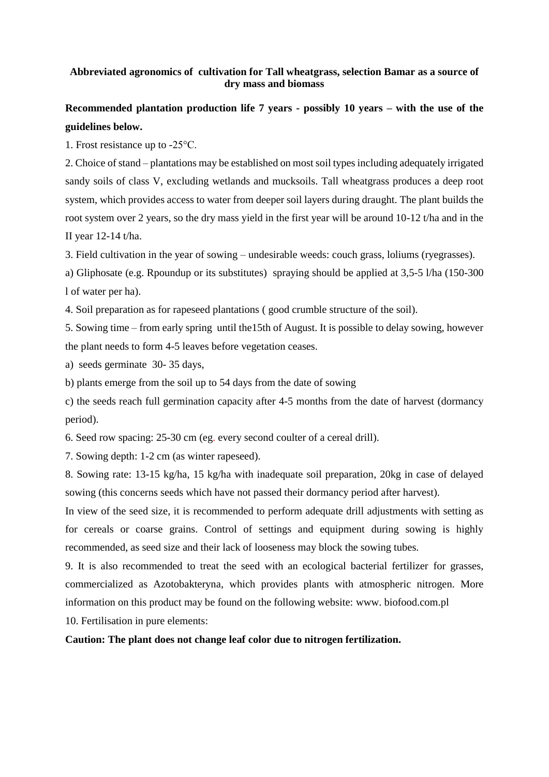## **Abbreviated agronomics of cultivation for Tall wheatgrass, selection Bamar as a source of dry mass and biomass**

## **Recommended plantation production life 7 years - possibly 10 years – with the use of the guidelines below.**

1. Frost resistance up to -25°C.

2. Choice of stand – plantations may be established on most soil types including adequately irrigated sandy soils of class V, excluding wetlands and mucksoils. Tall wheatgrass produces a deep root system, which provides access to water from deeper soil layers during draught. The plant builds the root system over 2 years, so the dry mass yield in the first year will be around 10-12 t/ha and in the II year 12-14 t/ha.

3. Field cultivation in the year of sowing – undesirable weeds: couch grass, loliums (ryegrasses).

a) Gliphosate (e.g. Rpoundup or its substitutes) spraying should be applied at 3,5-5 l/ha (150-300 l of water per ha).

4. Soil preparation as for rapeseed plantations ( good crumble structure of the soil).

5. Sowing time – from early spring until the15th of August. It is possible to delay sowing, however the plant needs to form 4-5 leaves before vegetation ceases.

a) seeds germinate 30- 35 days,

b) plants emerge from the soil up to 54 days from the date of sowing

c) the seeds reach full germination capacity after 4-5 months from the date of harvest (dormancy period).

6. Seed row spacing: 25-30 cm (eg. every second coulter of a cereal drill).

7. Sowing depth: 1-2 cm (as winter rapeseed).

8. Sowing rate: 13-15 kg/ha, 15 kg/ha with inadequate soil preparation, 20kg in case of delayed sowing (this concerns seeds which have not passed their dormancy period after harvest).

In view of the seed size, it is recommended to perform adequate drill adjustments with setting as for cereals or coarse grains. Control of settings and equipment during sowing is highly recommended, as seed size and their lack of looseness may block the sowing tubes.

9. It is also recommended to treat the seed with an ecological bacterial fertilizer for grasses, commercialized as Azotobakteryna, which provides plants with atmospheric nitrogen. More information on this product may be found on the following website: www. biofood.com.pl 10. Fertilisation in pure elements:

**Caution: The plant does not change leaf color due to nitrogen fertilization.**